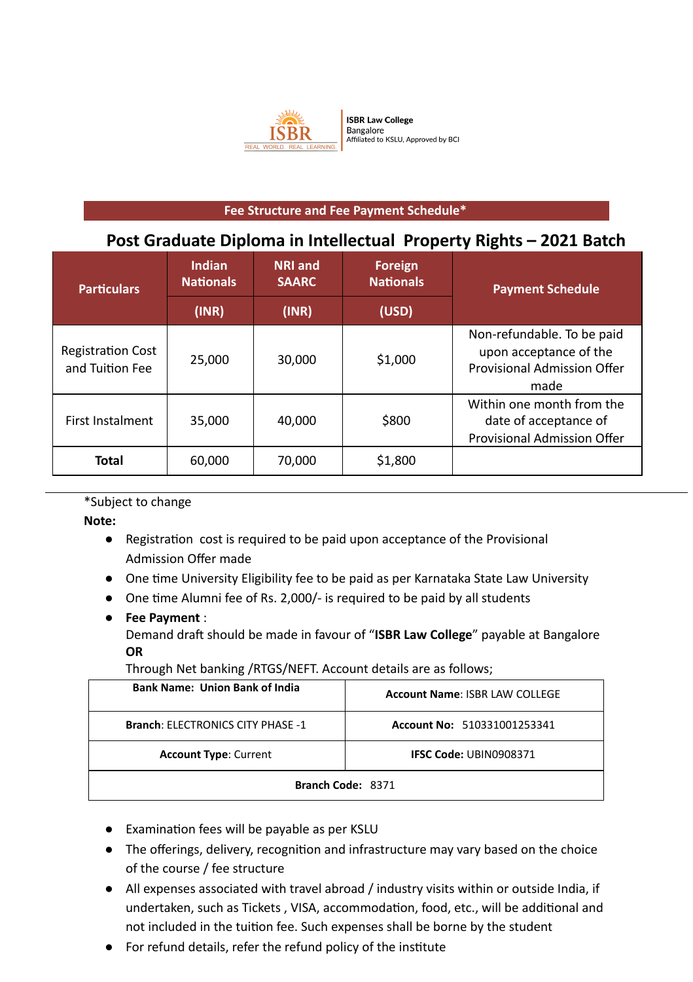

## **Fee Structure and Fee Payment Schedule\***

## **Post Graduate Diploma in Intellectual Property Rights – 2021 Batch**

| <b>Particulars</b>                          | <b>Indian</b><br><b>Nationals</b><br>(INR) | <b>NRI</b> and<br><b>SAARC</b><br>(INR) | <b>Foreign</b><br><b>Nationals</b><br>(USD) | <b>Payment Schedule</b>                                      |
|---------------------------------------------|--------------------------------------------|-----------------------------------------|---------------------------------------------|--------------------------------------------------------------|
|                                             |                                            |                                         |                                             | Non-refundable. To be paid                                   |
| <b>Registration Cost</b><br>and Tuition Fee | 25,000                                     | 30,000                                  | \$1,000                                     | upon acceptance of the<br><b>Provisional Admission Offer</b> |
|                                             |                                            |                                         |                                             | made                                                         |
| <b>First Instalment</b>                     | 35,000                                     | 40,000                                  | \$800                                       | Within one month from the<br>date of acceptance of           |
|                                             |                                            |                                         |                                             | <b>Provisional Admission Offer</b>                           |
| <b>Total</b>                                | 60,000                                     | 70,000                                  | \$1,800                                     |                                                              |

\*Subject to change

**Note:** 

- Registration cost is required to be paid upon acceptance of the Provisional Admission Offer made
- One time University Eligibility fee to be paid as per Karnataka State Law University
- One time Alumni fee of Rs. 2,000/- is required to be paid by all students
- **Fee Payment** :

Demand draft should be made in favour of "ISBR Law College" payable at Bangalore **OR** 

Through Net banking /RTGS/NEFT. Account details are as follows;

| <b>Bank Name: Union Bank of India</b>    | <b>Account Name: ISBR LAW COLLEGE</b> |  |  |  |
|------------------------------------------|---------------------------------------|--|--|--|
| <b>Branch: ELECTRONICS CITY PHASE -1</b> | Account No: 510331001253341           |  |  |  |
| <b>Account Type: Current</b>             | IFSC Code: UBIN0908371                |  |  |  |
| Branch Code: 8371                        |                                       |  |  |  |

- Examination fees will be payable as per KSLU
- The offerings, delivery, recognition and infrastructure may vary based on the choice of the course / fee structure
- All expenses associated with travel abroad / industry visits within or outside India, if undertaken, such as Tickets, VISA, accommodation, food, etc., will be additional and not included in the tuition fee. Such expenses shall be borne by the student
- For refund details, refer the refund policy of the institute